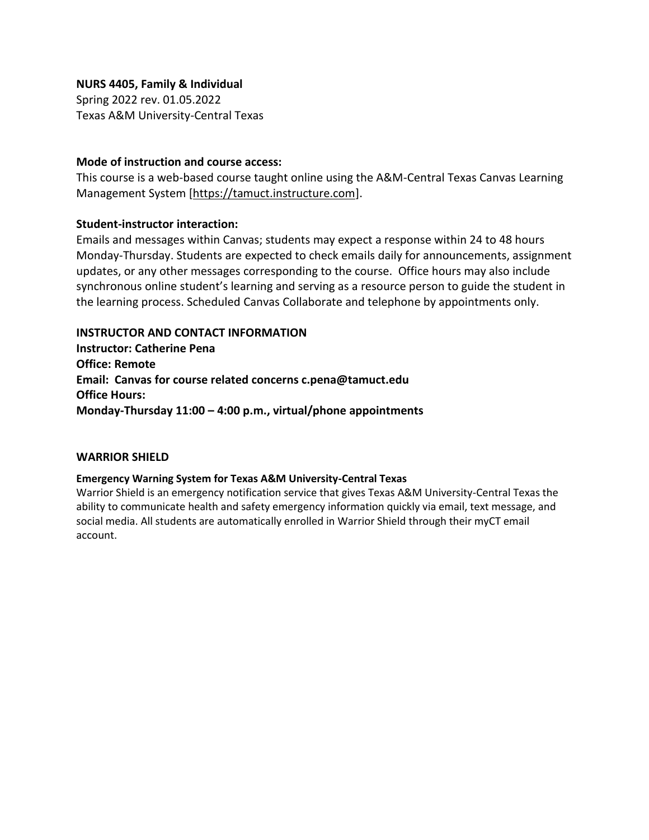### **NURS 4405, Family & Individual**

Spring 2022 rev. 01.05.2022 Texas A&M University-Central Texas

### **Mode of instruction and course access:**

This course is a web-based course taught online using the A&M-Central Texas Canvas Learning Management System [\[https://tamuct.instructure.com\]](https://tamuct.instructure.com/).

# **Student-instructor interaction:**

Emails and messages within Canvas; students may expect a response within 24 to 48 hours Monday-Thursday. Students are expected to check emails daily for announcements, assignment updates, or any other messages corresponding to the course. Office hours may also include synchronous online student's learning and serving as a resource person to guide the student in the learning process. Scheduled Canvas Collaborate and telephone by appointments only.

**INSTRUCTOR AND CONTACT INFORMATION Instructor: Catherine Pena Office: Remote Email: Canvas for course related concerns c.pena@tamuct.edu Office Hours: Monday-Thursday 11:00 – 4:00 p.m., virtual/phone appointments**

# **WARRIOR SHIELD**

#### **Emergency Warning System for Texas A&M University-Central Texas**

Warrior Shield is an emergency notification service that gives Texas A&M University-Central Texas the ability to communicate health and safety emergency information quickly via email, text message, and social media. All students are automatically enrolled in Warrior Shield through their myCT email account.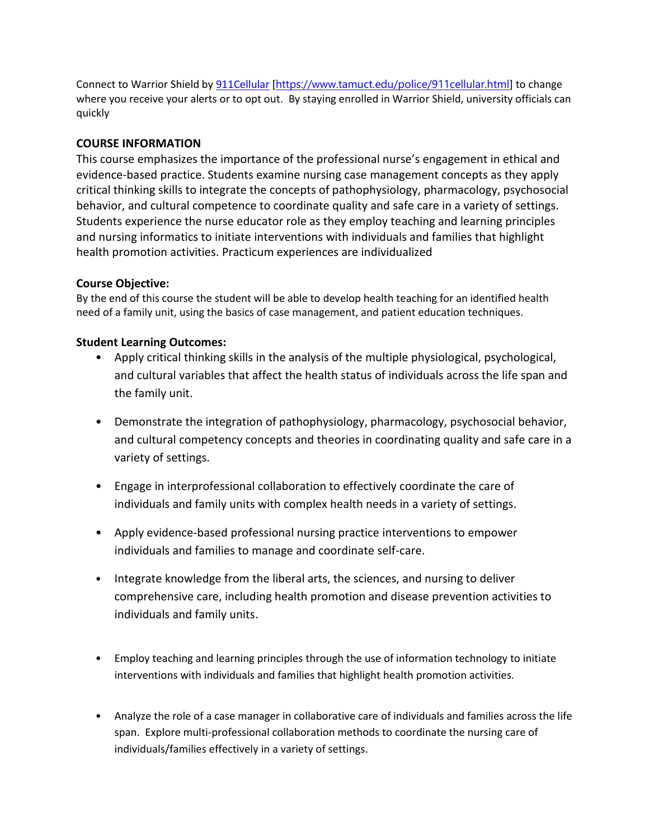Connect to Warrior Shield b[y 911Cellular](https://www.tamuct.edu/police/911cellular.html) [<https://www.tamuct.edu/police/911cellular.html>] to change where you receive your alerts or to opt out. By staying enrolled in Warrior Shield, university officials can quickly

# **COURSE INFORMATION**

This course emphasizes the importance of the professional nurse's engagement in ethical and evidence-based practice. Students examine nursing case management concepts as they apply critical thinking skills to integrate the concepts of pathophysiology, pharmacology, psychosocial behavior, and cultural competence to coordinate quality and safe care in a variety of settings. Students experience the nurse educator role as they employ teaching and learning principles and nursing informatics to initiate interventions with individuals and families that highlight health promotion activities. Practicum experiences are individualized

# **Course Objective:**

By the end of this course the student will be able to develop health teaching for an identified health need of a family unit, using the basics of case management, and patient education techniques.

# **Student Learning Outcomes:**

- Apply critical thinking skills in the analysis of the multiple physiological, psychological, and cultural variables that affect the health status of individuals across the life span and the family unit.
- Demonstrate the integration of pathophysiology, pharmacology, psychosocial behavior, and cultural competency concepts and theories in coordinating quality and safe care in a variety of settings.
- Engage in interprofessional collaboration to effectively coordinate the care of individuals and family units with complex health needs in a variety of settings.
- Apply evidence-based professional nursing practice interventions to empower individuals and families to manage and coordinate self-care.
- Integrate knowledge from the liberal arts, the sciences, and nursing to deliver comprehensive care, including health promotion and disease prevention activities to individuals and family units.
- Employ teaching and learning principles through the use of information technology to initiate interventions with individuals and families that highlight health promotion activities.
- Analyze the role of a case manager in collaborative care of individuals and families across the life span. Explore multi-professional collaboration methods to coordinate the nursing care of individuals/families effectively in a variety of settings.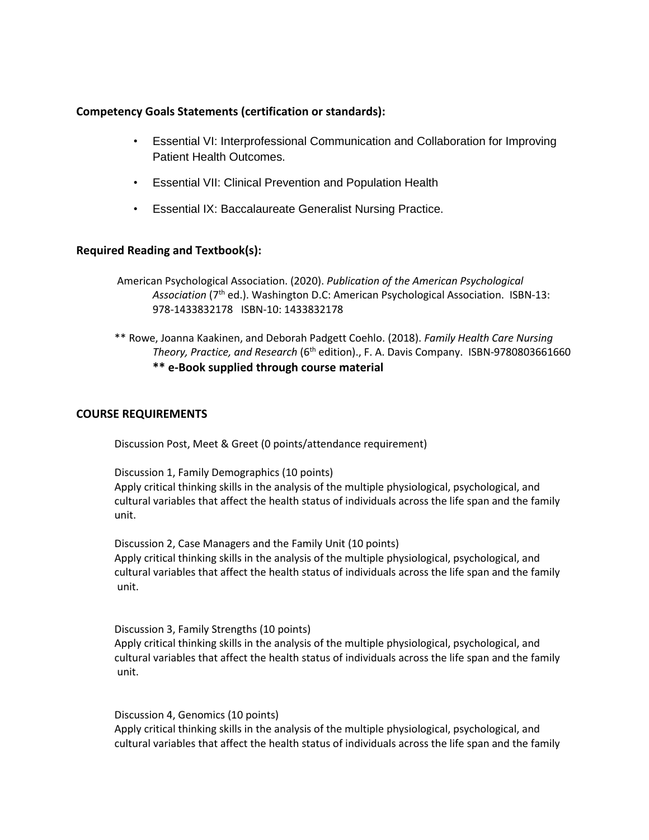### **Competency Goals Statements (certification or standards):**

- Essential VI: Interprofessional Communication and Collaboration for Improving Patient Health Outcomes.
- Essential VII: Clinical Prevention and Population Health
- Essential IX: Baccalaureate Generalist Nursing Practice.

### **Required Reading and Textbook(s):**

- American Psychological Association. (2020). *Publication of the American Psychological Association* (7th ed.). Washington D.C: American Psychological Association. ISBN-13: 978-1433832178 ISBN-10: 1433832178
- \*\* Rowe, Joanna Kaakinen, and Deborah Padgett Coehlo. (2018). *Family Health Care Nursing* Theory, Practice, and Research (6<sup>th</sup> edition)., F. A. Davis Company. ISBN-9780803661660 **\*\* e-Book supplied through course material**

#### **COURSE REQUIREMENTS**

Discussion Post, Meet & Greet (0 points/attendance requirement)

Discussion 1, Family Demographics (10 points) Apply critical thinking skills in the analysis of the multiple physiological, psychological, and cultural variables that affect the health status of individuals across the life span and the family unit.

Discussion 2, Case Managers and the Family Unit (10 points) Apply critical thinking skills in the analysis of the multiple physiological, psychological, and cultural variables that affect the health status of individuals across the life span and the family unit.

Discussion 3, Family Strengths (10 points) Apply critical thinking skills in the analysis of the multiple physiological, psychological, and cultural variables that affect the health status of individuals across the life span and the family unit.

Discussion 4, Genomics (10 points) Apply critical thinking skills in the analysis of the multiple physiological, psychological, and cultural variables that affect the health status of individuals across the life span and the family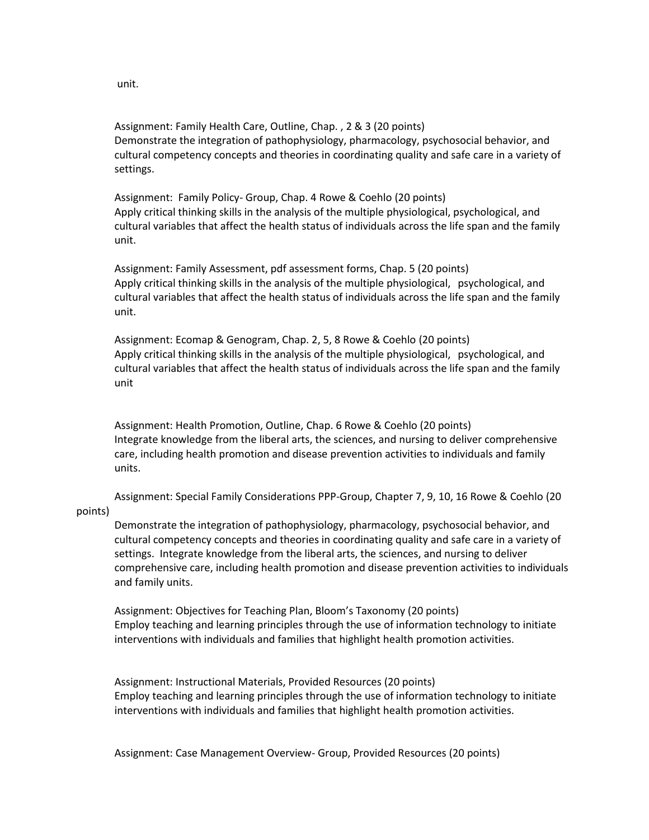Assignment: Family Health Care, Outline, Chap. , 2 & 3 (20 points) Demonstrate the integration of pathophysiology, pharmacology, psychosocial behavior, and cultural competency concepts and theories in coordinating quality and safe care in a variety of settings.

Assignment: Family Policy- Group, Chap. 4 Rowe & Coehlo (20 points) Apply critical thinking skills in the analysis of the multiple physiological, psychological, and cultural variables that affect the health status of individuals across the life span and the family unit.

Assignment: Family Assessment, pdf assessment forms, Chap. 5 (20 points) Apply critical thinking skills in the analysis of the multiple physiological, psychological, and cultural variables that affect the health status of individuals across the life span and the family unit.

Assignment: Ecomap & Genogram, Chap. 2, 5, 8 Rowe & Coehlo (20 points) Apply critical thinking skills in the analysis of the multiple physiological, psychological, and cultural variables that affect the health status of individuals across the life span and the family unit

Assignment: Health Promotion, Outline, Chap. 6 Rowe & Coehlo (20 points) Integrate knowledge from the liberal arts, the sciences, and nursing to deliver comprehensive care, including health promotion and disease prevention activities to individuals and family units.

Assignment: Special Family Considerations PPP-Group, Chapter 7, 9, 10, 16 Rowe & Coehlo (20

points)

Demonstrate the integration of pathophysiology, pharmacology, psychosocial behavior, and cultural competency concepts and theories in coordinating quality and safe care in a variety of settings. Integrate knowledge from the liberal arts, the sciences, and nursing to deliver comprehensive care, including health promotion and disease prevention activities to individuals and family units.

Assignment: Objectives for Teaching Plan, Bloom's Taxonomy (20 points) Employ teaching and learning principles through the use of information technology to initiate interventions with individuals and families that highlight health promotion activities.

Assignment: Instructional Materials, Provided Resources (20 points) Employ teaching and learning principles through the use of information technology to initiate interventions with individuals and families that highlight health promotion activities.

Assignment: Case Management Overview- Group, Provided Resources (20 points)

unit.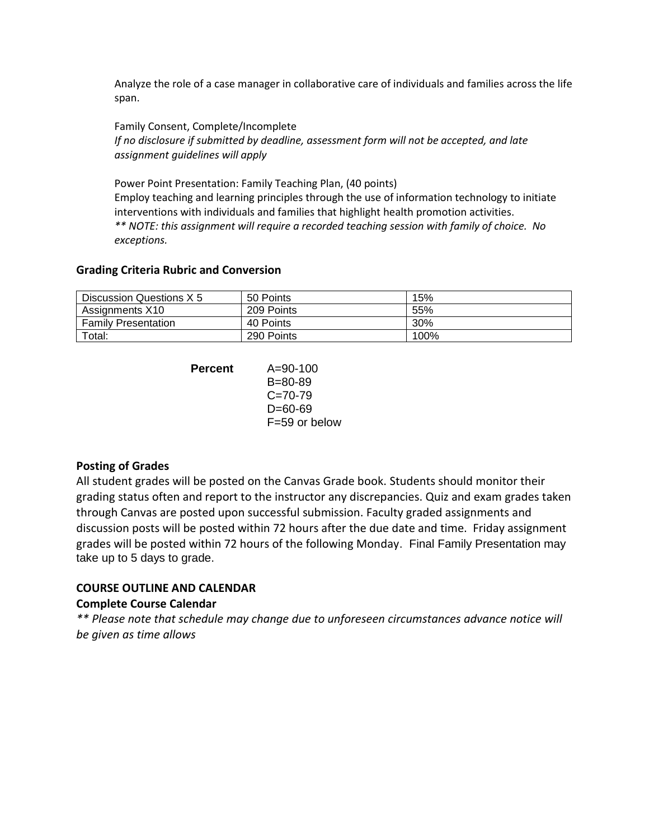Analyze the role of a case manager in collaborative care of individuals and families across the life span.

Family Consent, Complete/Incomplete *If no disclosure if submitted by deadline, assessment form will not be accepted, and late assignment guidelines will apply*

Power Point Presentation: Family Teaching Plan, (40 points) Employ teaching and learning principles through the use of information technology to initiate interventions with individuals and families that highlight health promotion activities. *\*\* NOTE: this assignment will require a recorded teaching session with family of choice. No exceptions.*

### **Grading Criteria Rubric and Conversion**

| Discussion Questions X 5   | 50 Points  | 15%  |
|----------------------------|------------|------|
| Assignments X10            | 209 Points | 55%  |
| <b>Family Presentation</b> | 40 Points  | 30%  |
| $\tau$ otal:               | 290 Points | 100% |

| Percent | $A = 90 - 100$    |
|---------|-------------------|
|         | $B = 80 - 89$     |
|         | $C = 70-79$       |
|         | $D = 60 - 69$     |
|         | $F = 59$ or below |

# **Posting of Grades**

All student grades will be posted on the Canvas Grade book. Students should monitor their grading status often and report to the instructor any discrepancies. Quiz and exam grades taken through Canvas are posted upon successful submission. Faculty graded assignments and discussion posts will be posted within 72 hours after the due date and time. Friday assignment grades will be posted within 72 hours of the following Monday. Final Family Presentation may take up to 5 days to grade.

# **COURSE OUTLINE AND CALENDAR**

# **Complete Course Calendar**

*\*\* Please note that schedule may change due to unforeseen circumstances advance notice will be given as time allows*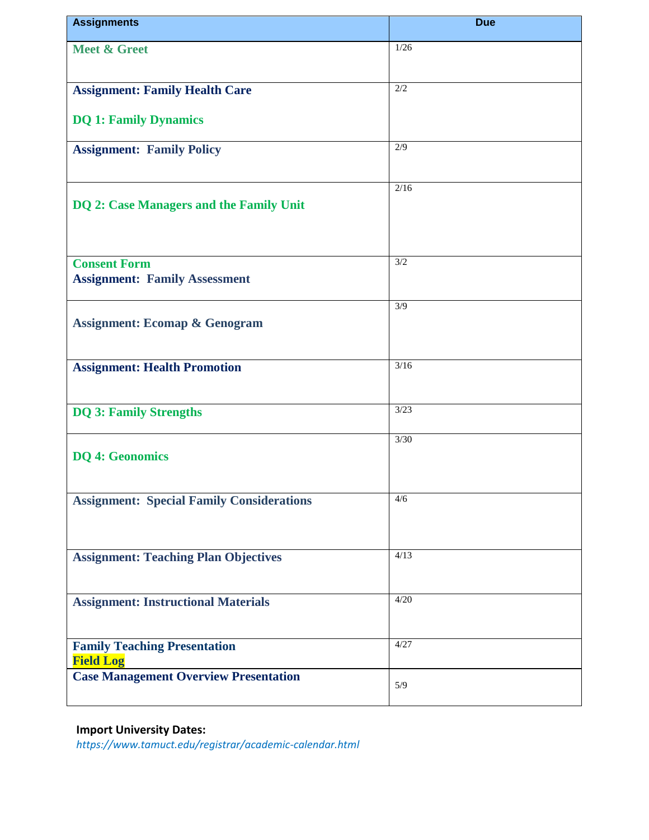| <b>Assignments</b>                                      | <b>Due</b>       |
|---------------------------------------------------------|------------------|
| <b>Meet &amp; Greet</b>                                 | 1/26             |
|                                                         |                  |
| <b>Assignment: Family Health Care</b>                   | $\overline{2/2}$ |
| <b>DQ 1: Family Dynamics</b>                            |                  |
| <b>Assignment: Family Policy</b>                        | 2/9              |
|                                                         |                  |
| DQ 2: Case Managers and the Family Unit                 | 2/16             |
|                                                         |                  |
|                                                         |                  |
| <b>Consent Form</b>                                     | 3/2              |
| <b>Assignment: Family Assessment</b>                    |                  |
| <b>Assignment: Ecomap &amp; Genogram</b>                | 3/9              |
|                                                         |                  |
| <b>Assignment: Health Promotion</b>                     | 3/16             |
|                                                         |                  |
| <b>DQ 3: Family Strengths</b>                           | 3/23             |
|                                                         | 3/30             |
| <b>DQ 4: Geonomics</b>                                  |                  |
|                                                         |                  |
| <b>Assignment: Special Family Considerations</b>        | 4/6              |
|                                                         |                  |
| <b>Assignment: Teaching Plan Objectives</b>             | 4/13             |
|                                                         |                  |
| <b>Assignment: Instructional Materials</b>              | 4/20             |
|                                                         |                  |
| <b>Family Teaching Presentation</b><br><b>Field Log</b> | 4/27             |
| <b>Case Management Overview Presentation</b>            | 5/9              |
|                                                         |                  |

# **Import University Dates:**

*https://www.tamuct.edu/registrar/academic-calendar.html*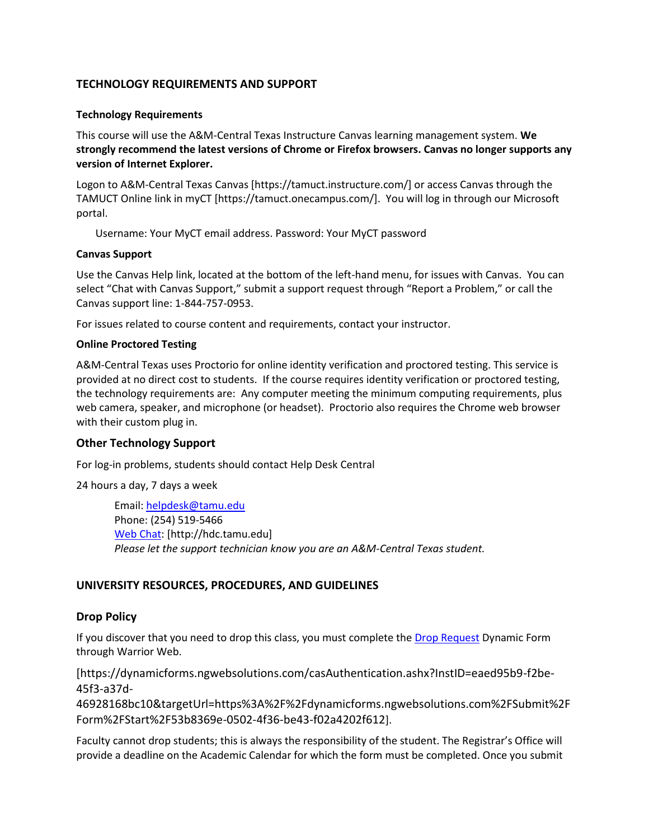# **TECHNOLOGY REQUIREMENTS AND SUPPORT**

#### **Technology Requirements**

This course will use the A&M-Central Texas Instructure Canvas learning management system. **We strongly recommend the latest versions of Chrome or Firefox browsers. Canvas no longer supports any version of Internet Explorer.**

Logon to A&M-Central Texas Canvas [https://tamuct.instructure.com/] or access Canvas through the TAMUCT Online link in myCT [https://tamuct.onecampus.com/]. You will log in through our Microsoft portal.

Username: Your MyCT email address. Password: Your MyCT password

#### **Canvas Support**

Use the Canvas Help link, located at the bottom of the left-hand menu, for issues with Canvas. You can select "Chat with Canvas Support," submit a support request through "Report a Problem," or call the Canvas support line: 1-844-757-0953.

For issues related to course content and requirements, contact your instructor.

### **Online Proctored Testing**

A&M-Central Texas uses Proctorio for online identity verification and proctored testing. This service is provided at no direct cost to students. If the course requires identity verification or proctored testing, the technology requirements are: Any computer meeting the minimum computing requirements, plus web camera, speaker, and microphone (or headset). Proctorio also requires the Chrome web browser with their custom plug in.

# **Other Technology Support**

For log-in problems, students should contact Help Desk Central

24 hours a day, 7 days a week

Email: [helpdesk@tamu.edu](mailto:helpdesk@tamu.edu) Phone: (254) 519-5466 [Web Chat:](http://hdc.tamu.edu/) [http://hdc.tamu.edu] *Please let the support technician know you are an A&M-Central Texas student.*

# **UNIVERSITY RESOURCES, PROCEDURES, AND GUIDELINES**

# **Drop Policy**

If you discover that you need to drop this class, you must complete the [Drop Request](https://dynamicforms.ngwebsolutions.com/casAuthentication.ashx?InstID=eaed95b9-f2be-45f3-a37d-46928168bc10&targetUrl=https%3A%2F%2Fdynamicforms.ngwebsolutions.com%2FSubmit%2FForm%2FStart%2F53b8369e-0502-4f36-be43-f02a4202f612) Dynamic Form through Warrior Web.

[https://dynamicforms.ngwebsolutions.com/casAuthentication.ashx?InstID=eaed95b9-f2be-45f3-a37d-

46928168bc10&targetUrl=https%3A%2F%2Fdynamicforms.ngwebsolutions.com%2FSubmit%2F Form%2FStart%2F53b8369e-0502-4f36-be43-f02a4202f612].

Faculty cannot drop students; this is always the responsibility of the student. The Registrar's Office will provide a deadline on the Academic Calendar for which the form must be completed. Once you submit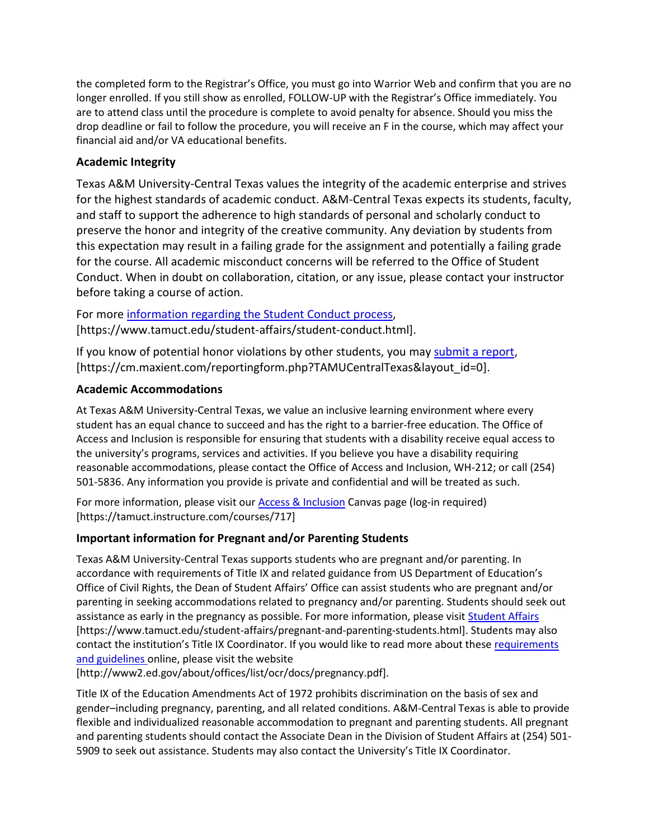the completed form to the Registrar's Office, you must go into Warrior Web and confirm that you are no longer enrolled. If you still show as enrolled, FOLLOW-UP with the Registrar's Office immediately. You are to attend class until the procedure is complete to avoid penalty for absence. Should you miss the drop deadline or fail to follow the procedure, you will receive an F in the course, which may affect your financial aid and/or VA educational benefits.

# **Academic Integrity**

Texas A&M University-Central Texas values the integrity of the academic enterprise and strives for the highest standards of academic conduct. A&M-Central Texas expects its students, faculty, and staff to support the adherence to high standards of personal and scholarly conduct to preserve the honor and integrity of the creative community. Any deviation by students from this expectation may result in a failing grade for the assignment and potentially a failing grade for the course. All academic misconduct concerns will be referred to the Office of Student Conduct. When in doubt on collaboration, citation, or any issue, please contact your instructor before taking a course of action.

For more [information](https://nam04.safelinks.protection.outlook.com/?url=https%3A%2F%2Fwww.tamuct.edu%2Fstudent-affairs%2Fstudent-conduct.html&data=04%7C01%7Clisa.bunkowski%40tamuct.edu%7Ccfb6e486f24745f53e1a08d910055cb2%7C9eed4e3000f744849ff193ad8005acec%7C0%7C0%7C637558437485252160%7CUnknown%7CTWFpbGZsb3d8eyJWIjoiMC4wLjAwMDAiLCJQIjoiV2luMzIiLCJBTiI6Ik1haWwiLCJXVCI6Mn0%3D%7C1000&sdata=yjftDEVHvLX%2FhM%2FcFU0B99krV1RgEWR%2BJ%2BhvtoR6TYk%3D&reserved=0) regarding the Student Conduct process, [https://www.tamuct.edu/student-affairs/student-conduct.html].

If you know of potential honor violations by other students, you may [submit](https://nam04.safelinks.protection.outlook.com/?url=https%3A%2F%2Fcm.maxient.com%2Freportingform.php%3FTAMUCentralTexas%26layout_id%3D0&data=04%7C01%7Clisa.bunkowski%40tamuct.edu%7Ccfb6e486f24745f53e1a08d910055cb2%7C9eed4e3000f744849ff193ad8005acec%7C0%7C0%7C637558437485262157%7CUnknown%7CTWFpbGZsb3d8eyJWIjoiMC4wLjAwMDAiLCJQIjoiV2luMzIiLCJBTiI6Ik1haWwiLCJXVCI6Mn0%3D%7C1000&sdata=CXGkOa6uPDPX1IMZ87z3aZDq2n91xfHKu4MMS43Ejjk%3D&reserved=0) a report, [https://cm.maxient.com/reportingform.php?TAMUCentralTexas&layout\_id=0].

# **Academic Accommodations**

At Texas A&M University-Central Texas, we value an inclusive learning environment where every student has an equal chance to succeed and has the right to a barrier-free education. The Office of Access and Inclusion is responsible for ensuring that students with a disability receive equal access to the university's programs, services and activities. If you believe you have a disability requiring reasonable accommodations, please contact the Office of Access and Inclusion, WH-212; or call (254) 501-5836. Any information you provide is private and confidential and will be treated as such.

For more information, please visit ou[r Access & Inclusion](https://tamuct.instructure.com/courses/717) Canvas page (log-in required) [https://tamuct.instructure.com/courses/717]

# **Important information for Pregnant and/or Parenting Students**

Texas A&M University-Central Texas supports students who are pregnant and/or parenting. In accordance with requirements of Title IX and related guidance from US Department of Education's Office of Civil Rights, the Dean of Student Affairs' Office can assist students who are pregnant and/or parenting in seeking accommodations related to pregnancy and/or parenting. Students should seek out assistance as early in the pregnancy as possible. For more information, please visi[t Student Affairs](https://www.tamuct.edu/student-affairs/pregnant-and-parenting-students.html) [https://www.tamuct.edu/student-affairs/pregnant-and-parenting-students.html]. Students may also contact the institution's Title IX Coordinator. If you would like to read more about thes[e requirements](http://www2.ed.gov/about/offices/list/ocr/docs/pregnancy.pdf)  [and guidelines](http://www2.ed.gov/about/offices/list/ocr/docs/pregnancy.pdf) online, please visit the website [http://www2.ed.gov/about/offices/list/ocr/docs/pregnancy.pdf].

Title IX of the Education Amendments Act of 1972 prohibits discrimination on the basis of sex and gender–including pregnancy, parenting, and all related conditions. A&M-Central Texas is able to provide flexible and individualized reasonable accommodation to pregnant and parenting students. All pregnant and parenting students should contact the Associate Dean in the Division of Student Affairs at (254) 501- 5909 to seek out assistance. Students may also contact the University's Title IX Coordinator.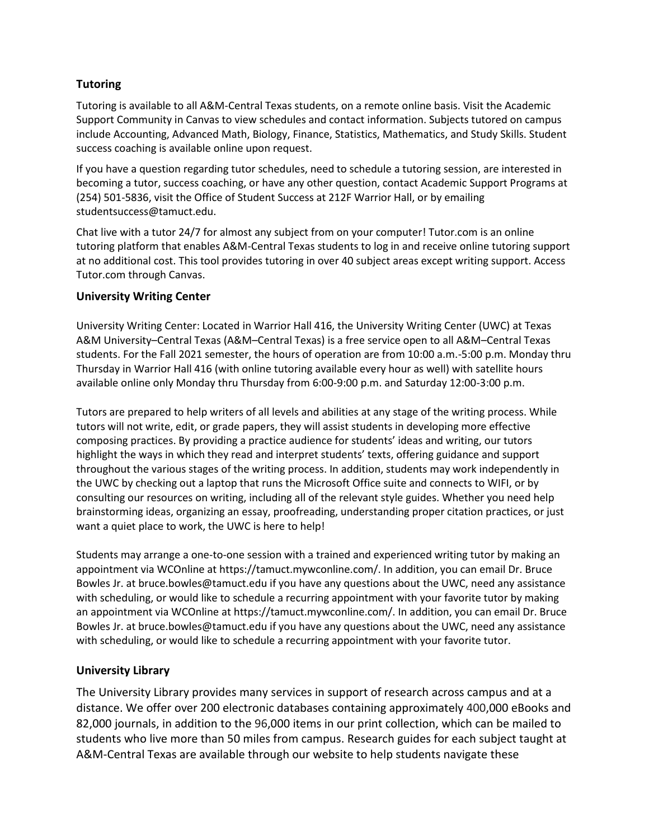# **Tutoring**

Tutoring is available to all A&M-Central Texas students, on a remote online basis. Visit the Academic Support Community in Canvas to view schedules and contact information. Subjects tutored on campus include Accounting, Advanced Math, Biology, Finance, Statistics, Mathematics, and Study Skills. Student success coaching is available online upon request.

If you have a question regarding tutor schedules, need to schedule a tutoring session, are interested in becoming a tutor, success coaching, or have any other question, contact Academic Support Programs at (254) 501-5836, visit the Office of Student Success at 212F Warrior Hall, or by emailing studentsuccess@tamuct.edu.

Chat live with a tutor 24/7 for almost any subject from on your computer! Tutor.com is an online tutoring platform that enables A&M-Central Texas students to log in and receive online tutoring support at no additional cost. This tool provides tutoring in over 40 subject areas except writing support. Access Tutor.com through Canvas.

### **University Writing Center**

University Writing Center: Located in Warrior Hall 416, the University Writing Center (UWC) at Texas A&M University–Central Texas (A&M–Central Texas) is a free service open to all A&M–Central Texas students. For the Fall 2021 semester, the hours of operation are from 10:00 a.m.-5:00 p.m. Monday thru Thursday in Warrior Hall 416 (with online tutoring available every hour as well) with satellite hours available online only Monday thru Thursday from 6:00-9:00 p.m. and Saturday 12:00-3:00 p.m.

Tutors are prepared to help writers of all levels and abilities at any stage of the writing process. While tutors will not write, edit, or grade papers, they will assist students in developing more effective composing practices. By providing a practice audience for students' ideas and writing, our tutors highlight the ways in which they read and interpret students' texts, offering guidance and support throughout the various stages of the writing process. In addition, students may work independently in the UWC by checking out a laptop that runs the Microsoft Office suite and connects to WIFI, or by consulting our resources on writing, including all of the relevant style guides. Whether you need help brainstorming ideas, organizing an essay, proofreading, understanding proper citation practices, or just want a quiet place to work, the UWC is here to help!

Students may arrange a one-to-one session with a trained and experienced writing tutor by making an appointment via WCOnline at https://tamuct.mywconline.com/. In addition, you can email Dr. Bruce Bowles Jr. at bruce.bowles@tamuct.edu if you have any questions about the UWC, need any assistance with scheduling, or would like to schedule a recurring appointment with your favorite tutor by making an appointment via WCOnline at https://tamuct.mywconline.com/. In addition, you can email Dr. Bruce Bowles Jr. at bruce.bowles@tamuct.edu if you have any questions about the UWC, need any assistance with scheduling, or would like to schedule a recurring appointment with your favorite tutor.

# **University Library**

The University Library provides many services in support of research across campus and at a distance. We offer over 200 electronic databases containing approximately 400,000 eBooks and 82,000 journals, in addition to the 96,000 items in our print collection, which can be mailed to students who live more than 50 miles from campus. Research guides for each subject taught at A&M-Central Texas are available through our website to help students navigate these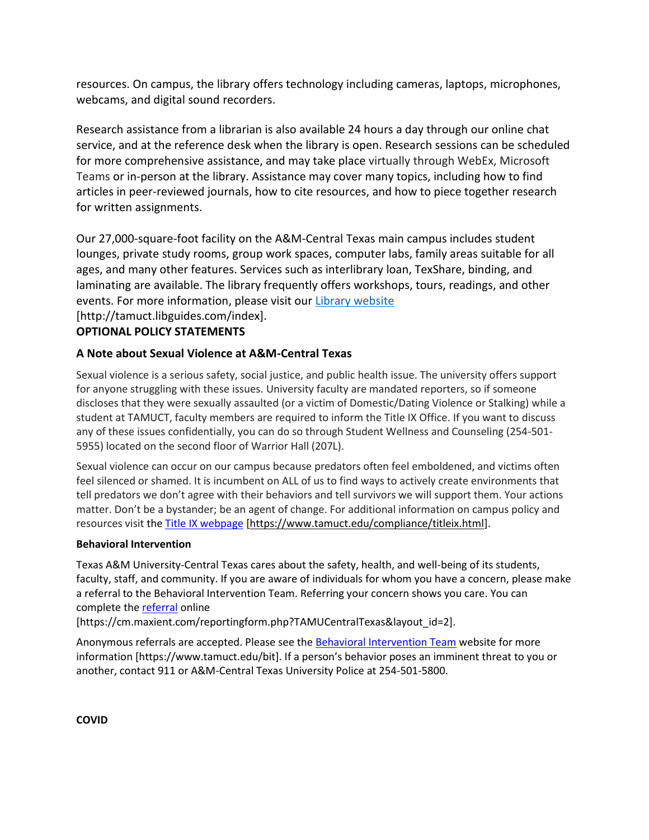resources. On campus, the library offers technology including cameras, laptops, microphones, webcams, and digital sound recorders.

Research assistance from a librarian is also available 24 hours a day through our online chat service, and at the reference desk when the library is open. Research sessions can be scheduled for more comprehensive assistance, and may take place virtually through WebEx, Microsoft Teams or in-person at the library. Assistance may cover many topics, including how to find articles in peer-reviewed journals, how to cite resources, and how to piece together research for written assignments.

Our 27,000-square-foot facility on the A&M-Central Texas main campus includes student lounges, private study rooms, group work spaces, computer labs, family areas suitable for all ages, and many other features. Services such as interlibrary loan, TexShare, binding, and laminating are available. The library frequently offers workshops, tours, readings, and other events. For more information, please visit our Library [website](https://nam04.safelinks.protection.outlook.com/?url=https%3A%2F%2Ftamuct.libguides.com%2Findex&data=04%7C01%7Clisa.bunkowski%40tamuct.edu%7C7d8489e8839a4915335f08d916f067f2%7C9eed4e3000f744849ff193ad8005acec%7C0%7C0%7C637566044056484222%7CUnknown%7CTWFpbGZsb3d8eyJWIjoiMC4wLjAwMDAiLCJQIjoiV2luMzIiLCJBTiI6Ik1haWwiLCJXVCI6Mn0%3D%7C1000&sdata=2R755V6rcIyedGrd4Os5rkgn1PvhHKU3kUV1vBKiHFo%3D&reserved=0)

[http://tamuct.libguides.com/index].

# **OPTIONAL POLICY STATEMENTS**

### **A Note about Sexual Violence at A&M-Central Texas**

Sexual violence is a serious safety, social justice, and public health issue. The university offers support for anyone struggling with these issues. University faculty are mandated reporters, so if someone discloses that they were sexually assaulted (or a victim of Domestic/Dating Violence or Stalking) while a student at TAMUCT, faculty members are required to inform the Title IX Office. If you want to discuss any of these issues confidentially, you can do so through Student Wellness and Counseling (254-501- 5955) located on the second floor of Warrior Hall (207L).

Sexual violence can occur on our campus because predators often feel emboldened, and victims often feel silenced or shamed. It is incumbent on ALL of us to find ways to actively create environments that tell predators we don't agree with their behaviors and tell survivors we will support them. Your actions matter. Don't be a bystander; be an agent of change. For additional information on campus policy and resources visit the [Title IX webpage](https://www.tamuct.edu/compliance/titleix.html) [\[https://www.tamuct.edu/compliance/titleix.html\]](https://www.tamuct.edu/compliance/titleix.html).

#### **Behavioral Intervention**

Texas A&M University-Central Texas cares about the safety, health, and well-being of its students, faculty, staff, and community. If you are aware of individuals for whom you have a concern, please make a referral to the Behavioral Intervention Team. Referring your concern shows you care. You can complete the [referral](https://cm.maxient.com/reportingform.php?TAMUCentralTexas&layout_id=2) online

[https://cm.maxient.com/reportingform.php?TAMUCentralTexas&layout\_id=2].

Anonymous referrals are accepted. Please see th[e Behavioral Intervention Team](https://www.tamuct.edu/bit) website for more information [https://www.tamuct.edu/bit]. If a person's behavior poses an imminent threat to you or another, contact 911 or A&M-Central Texas University Police at 254-501-5800.

**COVID**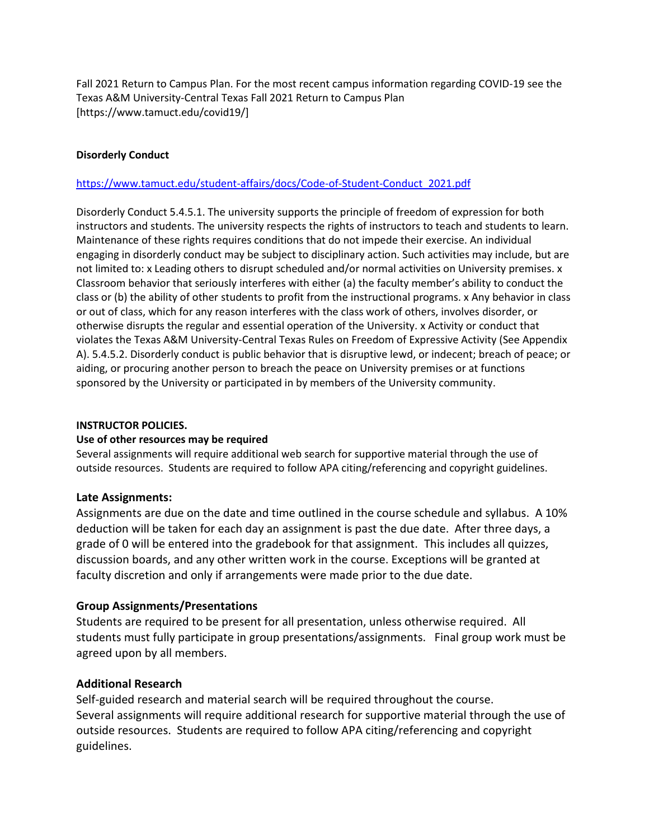Fall 2021 Return to Campus Plan. For the most recent campus information regarding COVID-19 see the Texas A&M University-Central Texas Fall 2021 Return to Campus Plan [https://www.tamuct.edu/covid19/]

### **Disorderly Conduct**

### [https://www.tamuct.edu/student-affairs/docs/Code-of-Student-Conduct\\_2021.pdf](https://nam04.safelinks.protection.outlook.com/?url=https%3A%2F%2Fwww.tamuct.edu%2Fstudent-affairs%2Fdocs%2FCode-of-Student-Conduct_2021.pdf&data=04%7C01%7Cc.pena%40tamuct.edu%7Cd23b1ef83aef447a684e08d9640b8c11%7C9eed4e3000f744849ff193ad8005acec%7C0%7C0%7C637650823013182356%7CUnknown%7CTWFpbGZsb3d8eyJWIjoiMC4wLjAwMDAiLCJQIjoiV2luMzIiLCJBTiI6Ik1haWwiLCJXVCI6Mn0%3D%7C1000&sdata=4IGOECyAvFnUrLFiIfjRX4hlV111COwyKllBqydCniA%3D&reserved=0)

Disorderly Conduct 5.4.5.1. The university supports the principle of freedom of expression for both instructors and students. The university respects the rights of instructors to teach and students to learn. Maintenance of these rights requires conditions that do not impede their exercise. An individual engaging in disorderly conduct may be subject to disciplinary action. Such activities may include, but are not limited to: x Leading others to disrupt scheduled and/or normal activities on University premises. x Classroom behavior that seriously interferes with either (a) the faculty member's ability to conduct the class or (b) the ability of other students to profit from the instructional programs. x Any behavior in class or out of class, which for any reason interferes with the class work of others, involves disorder, or otherwise disrupts the regular and essential operation of the University. x Activity or conduct that violates the Texas A&M University-Central Texas Rules on Freedom of Expressive Activity (See Appendix A). 5.4.5.2. Disorderly conduct is public behavior that is disruptive lewd, or indecent; breach of peace; or aiding, or procuring another person to breach the peace on University premises or at functions sponsored by the University or participated in by members of the University community.

#### **INSTRUCTOR POLICIES.**

#### **Use of other resources may be required**

Several assignments will require additional web search for supportive material through the use of outside resources. Students are required to follow APA citing/referencing and copyright guidelines.

#### **Late Assignments:**

Assignments are due on the date and time outlined in the course schedule and syllabus. A 10% deduction will be taken for each day an assignment is past the due date. After three days, a grade of 0 will be entered into the gradebook for that assignment. This includes all quizzes, discussion boards, and any other written work in the course. Exceptions will be granted at faculty discretion and only if arrangements were made prior to the due date.

#### **Group Assignments/Presentations**

Students are required to be present for all presentation, unless otherwise required. All students must fully participate in group presentations/assignments. Final group work must be agreed upon by all members.

#### **Additional Research**

Self-guided research and material search will be required throughout the course. Several assignments will require additional research for supportive material through the use of outside resources. Students are required to follow APA citing/referencing and copyright guidelines.